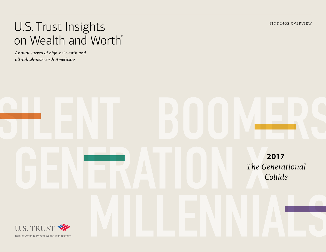FINDINGS OVERVIEW

# U.S. Trust Insights on Wealth and Worth®

*Annual survey of high-net-worth and ultra-high-net-worth Americans*

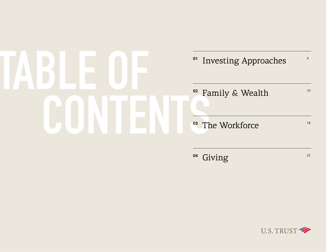# **TABLE OF CONTENT**S

# <sup>o</sup>1 Investing Approaches  $10^{-4}$ <sup>02</sup> Family & Wealth

<sup>03</sup> The Workforce

<sup>04</sup> Giving 22

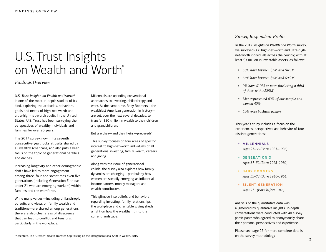# U.S. Trust Insights on Wealth and Worth ®

*Findings Overview*

*U.S. Trust Insights on Wealth and Worth®* is one of the most in-depth studies of its kind, exploring the attitudes, behaviors, goals and needs of high-net-worth and ultra-high-net-worth adults in the United States. U.S. Trust has been surveying the perspectives of wealthy individuals and families for over 20 years.

The 2017 survey, now in its seventh consecutive year, looks at traits shared by all wealthy Americans, and also puts a keen focus on the topic of generational parallels and divides.

Increasing longevity and other demographic shifts have led to more engagement among three, four and sometimes even five generations (including Generation Z, those under 21 who are emerging workers) within families and the workforce.

While many values—including philanthropic pursuits and views on family wealth and traditions—are shared among generations, there are also clear areas of divergence that can lead to conflict and tensions, particularly in the workplace.

Millennials are upending conventional approaches to investing, philanthropy and work. At the same time, Baby Boomers—the wealthiest American generation in history are set, over the next several decades, to transfer \$30 trillion in wealth to their children and grandchildren.<sup>1</sup>

But are they—and their heirs—prepared?

This survey focuses on four areas of specific interest to high-net-worth individuals of all generations: investing, family wealth, careers and giving.

Along with the issue of generational collide, the survey also explores how family dynamics are changing—particularly how women are steadily emerging as influential income earners, money managers and wealth contributors.

This glimpse into beliefs and behaviors regarding investing, family relationships, the workplace and charitable giving sheds a light on how the wealthy fit into the current landscape.

#### *Survey Respondent Profile*

In the 2017 *Insights on Wealth and Worth* survey, we surveyed 808 high-net-worth and ultra-highnet-worth individuals across the country, with at least \$3 million in investable assets, as follows:

- » *56% have between \$3M and \$4.9M*
- » *35% have between \$5M and \$9.9M*
- » *9% have \$10M or more (including a third of those with >\$25M)*
- » *Men represented 60% of our sample and women 40%*
- » *24% were business owners*

This year's study includes a focus on the experiences, perspectives and behavior of four distinct generations:

- » **MILLENNIALS** *Ages 21–36 (Born 1981–1996)*
- » **GENERATION X** *Ages 37–52 (Born 1965–1980)*
- » **BABY BOOMERS** *Ages 53–72 (Born 1946–1964)*
- » **SILENT GENERATION** *Ages 73+ (Born before 1946)*

Analysis of the quantitative data was augmented by qualitative insights. In-depth conversations were conducted with 40 survey participants who agreed to anonymously share their personal perspectives and experience.

Please see page 27 for more complete details on the survey methodology.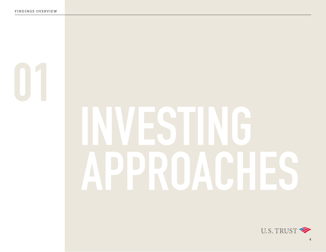**01**

# **INVESTING APPROACHES**

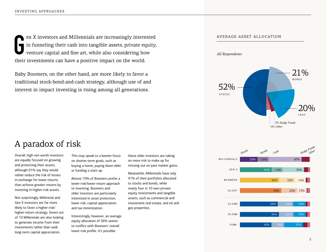**G** en X investors and Millennials are increasingly interested in funneling their cash into tangible assets, private equity, venture capital and fine art, while also considering how their investments can have a positive impact on the world.

Baby Boomers, on the other hand, are more likely to favor a traditional stock-bond-and-cash strategy, although use of and interest in impact investing is rising among all generations.

#### AVERAGE ASSET ALLOCATION

*All Respondents*



# A paradox of risk

Overall, high-net-worth investors are equally focused on growing and protecting their assets, although 61% say they would rather reduce the risk of losses in exchange for lower returns than achieve greater returns by investing in higher-risk assets.

Not surprisingly, Millennial and Gen X investors are far more likely to favor a higher-risk/ higher-return strategy. Seven out of 10 Millennials are also looking to generate income from their investments rather than seek long-term capital appreciation.

This may speak to a keener focus on shorter-term goals, such as buying a home, paying down debt or funding a start-up.

Almost 70% of Boomers prefer a lower-risk/lower-return approach to investing. Boomers and older investors are particularly interested in asset protection, lower risk, capital appreciation and tax minimization.

Interestingly, however, an average equity allocation of 56% seems to conflict with Boomers' overall lower-risk profile. It's possible

these older investors are taking on more risk to make up for missing out on past market gains.

Meanwhile, Millennials have only 41% of their portfolios allocated to stocks and bonds, while nearly four in 10 own private equity investments and tangible assets, such as commercial and investment real estate, and oil and gas properties.

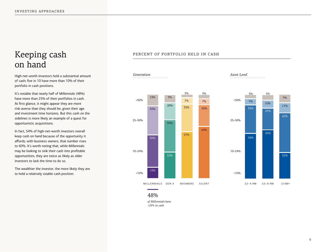# Keeping cash on hand

High-net-worth investors hold a substantial amount of cash; five in 10 have more than 10% of their portfolio in cash positions.

It's notable that nearly half of Millennials (48%) have more than 25% of their portfolios in cash. At first glance, it might appear they are more risk-averse than they should be, given their age and investment time horizons. But this cash on the sidelines is more likely an example of a quest for opportunistic acquisitions.

In fact, 54% of high-net-worth investors overall keep cash on hand because of the opportunity it affords; with business owners, that number rises to 60%. It's worth noting that, while Millennials may be looking to sink their cash into profitable opportunities, they are twice as likely as older investors to lack the time to do so.

The wealthier the investor, the more likely they are to hold a relatively sizable cash position.

#### PERCENT OF PORTFOLIO HELD IN CASH



*of Millennials have >25% in cash* 48%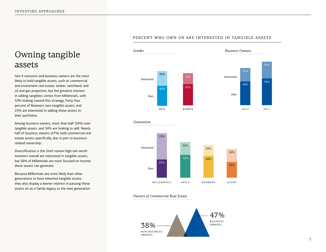# Owning tangible assets

Gen X investors and business owners are the most likely to hold tangible assets, such as commercial and investment real estate, timber, ranchland, and oil and gas properties, but the greatest interest in adding tangibles comes from Millennials, with 53% looking toward this strategy. Forty-four percent of Boomers own tangible assets, and 23% are interested in adding these assets to their portfolios.

Among business owners, more than half (54%) own tangible assets, and 34% are looking to add. Nearly half of business owners (47%) hold commercial real estate assets specifically, due in part to businessrelated ownership.

Diversification is the chief reason high-net-worth investors overall are interested in tangible assets, but 56% of Millennials are most focused on income these assets can generate.

Because Millennials are more likely than other generations to have inherited tangible assets, they also display a keener interest in passing these assets on as a family legacy to the next generation.

#### PERCENT WHO OWN OR ARE INTERESTED IN TANGIBLE ASSETS









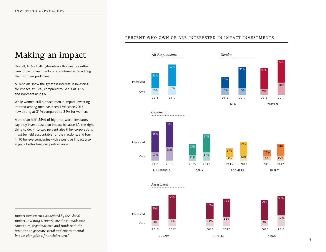# Making an impact

Overall, 45% of all high-net-worth investors either own impact investments or are interested in adding them to their portfolios.

Millennials show the greatest interest in investing for impact, at 52%, compared to Gen X at 37% and Boomers at 29%.

While women still outpace men in impact investing, interest among men has risen 16% since 2015, now sitting at 31% compared to 34% for women.

More than half (55%) of high-net-worth investors say they invest based on impact because it's the right thing to do. Fifty-two percent also think corporations must be held accountable for their actions, and four in 10 believe companies with a positive impact also enjoy a better financial performance.

*Generation* Interested Own GEN X 2015 23% 11% 2017 37% 17% BOOMERS 2015 17% 7% 2017 29% 10% SILENT 2015 13% 8% 2017 24% 10% MILLENNIALS 2017 52% 28% 2015 43% 17% Interested Own WOMEN 2017 34% 18% 2015 31% 9% MEN 2015 16% 10% 2017 31% 10% 10% 2015 22% 2017 32% 13%

\$5–9.9M

2017

14%

26%

2015

11%

23%

*Gender*

*Impact investments, as defined by the Global Impact Investing Network, are those "made into companies, organizations, and funds with the intention to generate social and environmental impact alongside a financial return."*

#### PERCENT WHO OWN OR ARE INTERESTED IN IMPACT INVESTMENTS



*Asset Level*

*All Respondents*





2017

16%

30%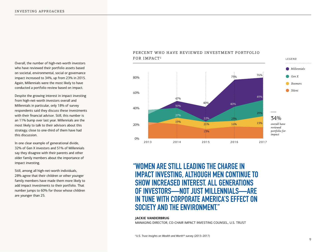Overall, the number of high-net-worth investors who have reviewed their portfolio assets based on societal, environmental, social or governance impact increased to 34%, up from 23% in 2015. Again, Millennials were the most likely to have conducted a portfolio review based on impact.

Despite the growing interest in impact investing from high-net-worth investors overall and Millennials in particular, only 18% of survey respondents said they discuss these investments with their financial advisor. Still, this number is an 11% bump over last year. Millennials are the most likely to talk to their advisors about this strategy; close to one-third of them have had this discussion.

In one clear example of generational divide, 32% of Gen X investors and 51% of Millennials say they disagree with their parents and other older family members about the importance of impact investing.

Still, among all high-net-worth individuals, 28% agree that their children or other younger family members have made them more likely to add impact investments to their portfolio. That number jumps to 60% for those whose children are younger than 25.

#### PERCENT WHO HAVE REVIEWED INVESTMENT PORTFOLIO FOR IMPACT2



**"WOMEN ARE STILL LEADING THE CHARGE IN IMPACT INVESTING, ALTHOUGH MEN CONTINUE TO SHOW INCREASED INTEREST. ALL GENERATIONS OF INVESTORS—NOT JUST MILLENNIALS—ARE IN TUNE WITH CORPORATE AMERICA'S EFFECT ON SOCIETY AND THE ENVIRONMENT."**

#### **JACKIE VANDERBRUG**

MANAGING DIRECTOR, CO-CHAIR IMPACT INVESTING COUNSEL, U.S. TRUST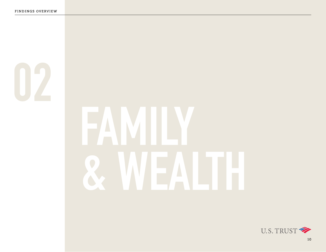# **FAMILY & WEALTH**

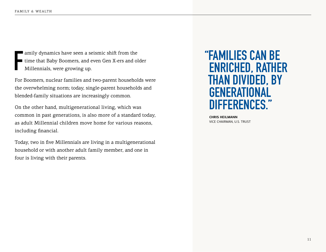**F** amily dynamics have seen a seismic shift from the time that Baby Boomers, and even Gen X-ers and older Millennials, were growing up.

For Boomers, nuclear families and two-parent households were the overwhelming norm; today, single-parent households and blended-family situations are increasingly common.

On the other hand, multigenerational living, which was common in past generations, is also more of a standard today, as adult Millennial children move home for various reasons, including financial.

Today, two in five Millennials are living in a multigenerational household or with another adult family member, and one in four is living with their parents.

# **"FAMILIES CAN BE ENRICHED, RATHER THAN DIVIDED, BY GENERATIONAL DIFFERENCES."**

**CHRIS HEILMANN** VICE CHAIRMAN, U.S. TRUST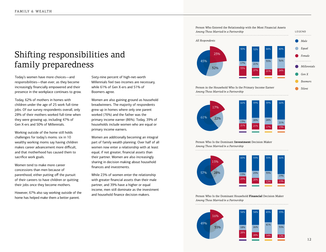# Shifting responsibilities and family preparedness

Today's women have more choices—and responsibilities—than ever, as they become increasingly financially empowered and their presence in the workplace continues to grow.

Today, 62% of mothers in homes with children under the age of 25 work full-time jobs. Of our survey respondents overall, only 28% of their mothers worked full-time when they were growing up, including 47% of Gen X-ers and 50% of Millennials.

Working outside of the home still holds challenges for today's moms: six in 10 wealthy working moms say having children makes career advancement more difficult, and that motherhood has caused them to sacrifice work goals.

Women tend to make more career concessions than men because of parenthood, either putting off the pursuit of their careers to have children or quitting their jobs once they become mothers.

However, 67% also say working outside of the home has helped make them a better parent.

Sixty-nine percent of high-net-worth Millennials feel two incomes are necessary, while 61% of Gen X-ers and 51% of Boomers agree.

Women are also gaining ground as household breadwinners. The majority of respondents grew up in homes where only one parent worked (76%) and the father was the primary income earner (86%). Today, 39% of households include women who are equal or primary income earners.

Women are additionally becoming an integral part of family wealth planning. Over half of all women now enter a relationship with at least equal, if not greater, financial assets than their partner. Women are also increasingly sharing in decision making about household finances and investments.

While 23% of women enter the relationship with greater financial assets than their male partner, and 39% have a higher or equal income, men still dominate as the investment and household finance decision makers.





Person Who Is the Dominant **Investment** Decision Maker *Among Those Married/in a Partnership*



Person Who Is the Dominant Household **Financial** Decision Maker *Among Those Married/in a Partnership*

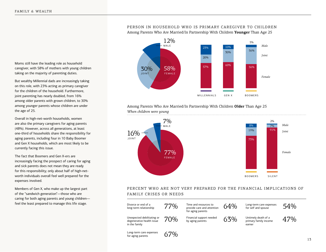Moms still have the leading role as household caregiver, with 58% of mothers with young children taking on the majority of parenting duties.

But wealthy Millennial dads are increasingly taking on this role, with 23% acting as primary caregiver for the children of the household. Furthermore, joint parenting has nearly doubled, from 16% among older parents with grown children, to 30% among younger parents whose children are under the age of 25.

Overall in high-net-worth households, women are also the primary caregivers for aging parents (48%). However, across all generations, at least one-third of households share the responsibility for aging parents, including four in 10 Baby Boomer and Gen X households, which are most likely to be currently facing this issue.

The fact that Boomers and Gen X-ers are increasingly facing the prospect of caring for aging and sick parents does not mean they are ready for this responsibility; only about half of high-networth individuals overall feel well prepared for the expenses involved.

Members of Gen X, who make up the largest part of the "sandwich generation"—those who are caring for both aging parents and young children feel the least prepared to manage this life stage.

#### PERSON IN HOUSEHOLD WHO IS PRIMARY CAREGIVER TO CHILDREN Among Parents Who Are Married/In Partnership With Children **Younger** Than Age 25



#### Among Parents Who Are Married/In Partnership With Children **Older** Than Age 25 *When children were young*



#### PERCENT WHO ARE NOT VERY PREPARED FOR THE FINANCIAL IMPLICATIONS OF FAMILY CRISES OR NEEDS

| Divorce or end of a<br>long-term relationship                            | $77\%$ | Time and resources to<br>provide care and attention<br>for aging parents | 64% | Long-term care expenses<br>for self and spouse         | 54% |
|--------------------------------------------------------------------------|--------|--------------------------------------------------------------------------|-----|--------------------------------------------------------|-----|
| Unexpected debilitating or<br>degenerative health issue<br>in the family | 70%    | Financial support needed<br>by aging parents                             | 63% | Untimely death of a<br>primary family income<br>earner | 47% |
| Long-term care expenses<br>for aging parents                             |        |                                                                          |     |                                                        |     |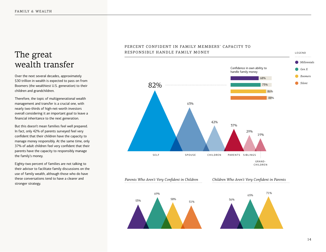## The great wealth transfer

Over the next several decades, approximately \$30 trillion in wealth is expected to pass on from Boomers (the wealthiest U.S. generation) to their children and grandchildren.

Therefore, the topic of multigenerational wealth management and transfer is a crucial one, with nearly two-thirds of high-net-worth investors overall considering it an important goal to leave a financial inheritance to the next generation.

But this doesn't mean families feel well prepared. In fact, only 42% of parents surveyed feel very confident that their children have the capacity to manage money responsibly. At the same time, only 37% of adult children feel very confident that their parents have the capacity to responsibly manage the family's money.

Eighty-two percent of families are not talking to their advisor to facilitate family discussions on the use of family wealth, although those who do have these conversations tend to have a clearer and stronger strategy.

#### PERCENT CONFIDENT IN FAMILY MEMBERS' CAPACITY TO RESPONSIBLY HANDLE FAMILY MONEY



*Parents Who Aren't Very Confident in Children*



#### *Children Who Aren't Very Confident in Parents*

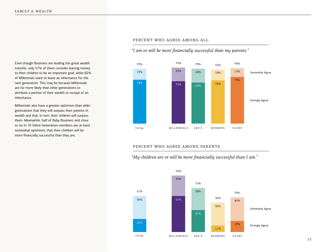Even though Boomers are leading the great wealth transfer, only 57% of them consider leaving money to their children to be an important goal, while 82% of Millennials want to leave an inheritance for the next generation. This may be because Millennials are far more likely than other generations to attribute a portion of their wealth to receipt of an inheritance.

Millennials also have a greater optimism than older generations that they will surpass their parents in wealth and that, in turn, their children will surpass them. Meanwhile, half of Baby Boomers and close to six in 10 Silent Generation members are at least somewhat optimistic that their children will be more financially successful than they are.

#### PERCENT WHO AGREE AMONG ALL

*"I am or will be more financially successful than my parents."*



#### PERCENT WHO AGREE AMONG PARENTS

*"My children are or will be more financially successful than I am."*

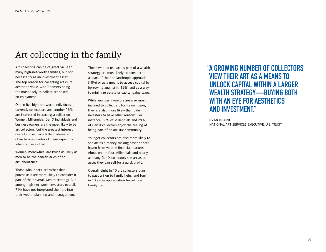## Art collecting in the family

Art collecting can be of great value to many high-net-worth families, but not necessarily as an investment asset. The top reason for collecting art is its aesthetic value, with Boomers being the most likely to collect art based on enjoyment.

One in five high-net-worth individuals currently collects art, and another 16% are interested in starting a collection. Women, Millennials, Gen X individuals and business owners are the most likely to be art collectors, but the greatest interest overall comes from Millennials—and close to one-quarter of them expect to inherit a piece of art.

Women, meanwhile, are twice as likely as men to be the beneficiaries of an art inheritance.

Those who inherit art rather than purchase it are more likely to consider it part of their overall wealth strategy. But among high-net-worth investors overall, 71% have not integrated their art into their wealth planning and management.

Those who do use art as part of a wealth strategy are most likely to consider it as part of their philanthropic approach (18%) or as a means to access capital by borrowing against it (12%) and as a way to minimize estate or capital gains taxes.

While younger investors are also most inclined to collect art for its own sake, they are also more likely than older investors to have other reasons. For instance, 38% of Millennials and 28% of Gen X collectors enjoy the feeling of being part of an artistic community.

Younger collectors are also more likely to see art as a money-making asset or safe haven from volatile financial markets. About one in four Millennials and nearly as many Gen X collectors see art as an asset they can sell for a quick profit.

Overall, eight in 10 art collectors plan to pass art on to family heirs, and four in 10 agree appreciation for art is a family tradition.

## **"A GROWING NUMBER OF COLLECTORS VIEW THEIR ART AS A MEANS TO UNLOCK CAPITAL WITHIN A LARGER WEALTH STRATEGY—BUYING BOTH WITH AN EYE FOR AESTHETICS AND INVESTMENT."**

**EVAN BEARD** NATIONAL ART SERVICES EXECUTIVE, U.S. TRUST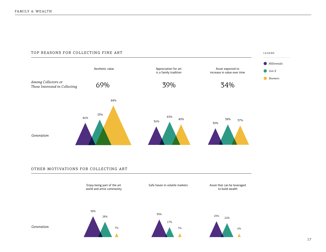#### TOP REASONS FOR COLLECTING FINE ART



#### OTHER MOTIVATIONS FOR COLLECTING ART



LEGEND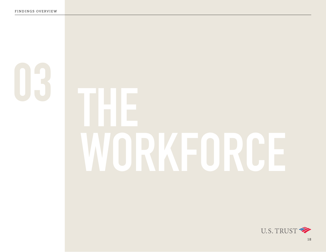# **WORKFORCE**

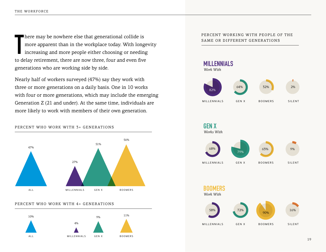**T** here may be nowhere else that generational collide is more apparent than in the workplace today. With longevity increasing and more people either choosing or needing to delay retirement, there are now three, four and even five generations who are working side by side.

Nearly half of workers surveyed (47%) say they work with three or more generations on a daily basis. One in 10 works with four or more generations, which may include the emerging Generation Z (21 and under). At the same time, individuals are more likely to work with members of their own generation.



#### PERCENT WHO WORK WITH 4+ GENERATIONS

PERCENT WHO WORK WITH 3+ GENERATIONS



#### PERCENT WORKING WITH PEOPLE OF THE SAME OR DIFFERENT GENERATIONS

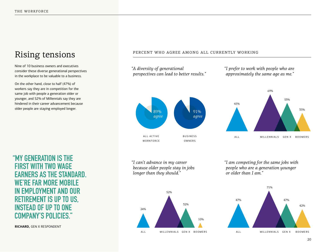# Rising tensions

Nine of 10 business owners and executives consider these diverse generational perspectives in the workplace to be valuable to a business.

On the other hand, close to half (47%) of workers say they are in competition for the same job with people a generation older or younger, and 52% of Millennials say they are hindered in their career advancement because older people are staying employed longer.

**"MY GENERATION IS THE FIRST WITH TWO WAGE EARNERS AS THE STANDARD. WE'RE FAR MORE MOBILE EMPLOYMENT AND OUR RETIREMENT IS UP TO US, INSTEAD OF UP TO ONE COMPANY'S POLICIES."** 

**RICHARD,** GEN X RESPONDENT

#### PERCENT WHO AGREE AMONG ALL CURRENTLY WORKING



*"I can't advance in my career because older people stay in jobs longer than they should."*

52%

24%

ALL MILLENNIALS GEN X BOOMERS

32%

10%





69%

53%

35%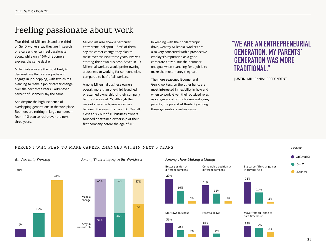## Feeling passionate about work

Two-thirds of Millennials and one-third of Gen X workers say they are in search of a career they can feel passionate about, while only 16% of Boomers express the same desire.

Millennials also are the most likely to demonstrate fluid career paths and engage in job-hopping, with two-thirds planning to make a job or career change over the next three years. Forty-seven percent of Boomers say the same.

And despite the high incidence of overlapping generations in the workplace, Boomers are retiring in large numbers four in 10 plan to retire over the next three years.

Millennials also show a particular entrepreneurial spirit—35% of them say the career change they plan to make over the next three years involves starting their own business. Seven in 10 Millennial workers would prefer owning a business to working for someone else, compared to half of all workers.

Among Millennial business owners overall, more than one-third launched or attained ownership of their company before the age of 25, although the majority became business owners between the ages of 25 and 36. Overall, close to six out of 10 business owners founded or attained ownership of their first company before the age of 40.

In keeping with their philanthropic drive, wealthy Millennial workers are also very concerned with a prospective employer's reputation as a good corporate citizen. But their number one goal when searching for a job is to make the most money they can.

The more seasoned Boomer and Gen X workers, on the other hand, are most interested in flexibility in how and when to work. Given their outsized roles as caregivers of both children and aging parents, the pursuit of flexibility among these generations makes sense.

### **"WE ARE AN ENTREPRENEURIAL GENERATION. MY PARENTS' GENERATION WAS MORE TRADITIONAL."**

**JUSTIN,** MILLENNIAL RESPONDENT

#### PERCENT WHO PLAN TO MAKE CAREER CHANGES WITHIN NEXT 3 YEARS



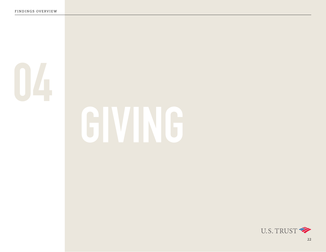

# **GIVING**

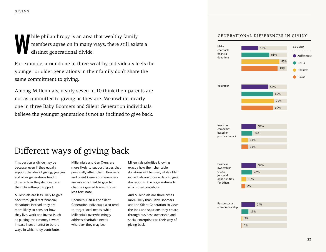hile philanthropy is an area that wealthy family<br>members agree on in many ways, there still exis<br>distinct generational divide. members agree on in many ways, there still exists a distinct generational divide.

For example, around one in three wealthy individuals feels the younger or older generations in their family don't share the same commitment to giving.

Among Millennials, nearly seven in 10 think their parents are not as committed to giving as they are. Meanwhile, nearly one in three Baby Boomers and Silent Generation individuals believe the younger generation is not as inclined to give back.

#### GENERATIONAL DIFFERENCES IN GIVING



# Different ways of giving back

This particular divide may be because, even if they equally support the idea of giving, younger and older generations tend to differ in how they demonstrate their philanthropic support.

Millennials are less likely to give back through direct financial donations; instead, they are more likely to consider how they live, work and invest (such as putting their money toward impact investments) to be the ways in which they contribute.

Millennials and Gen X-ers are more likely to support issues that personally affect them. Boomers and Silent Generation members are more inclined to give to charities geared toward those less fortunate.

Boomers, Gen X and Silent Generation individuals also tend to target local needs, while Millennials overwhelmingly address charitable needs wherever they may be.

Millennials prioritize knowing exactly how their charitable donations will be used, while older individuals are more willing to give discretion to the organizations to which they contribute.

And Millennials are three times more likely than Baby Boomers and the Silent Generation to view the jobs and solutions they create through business ownership and social enterprises as their way of giving back.



14%

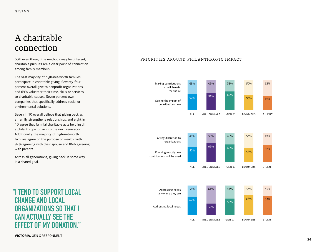# A charitable connection

Still, even though the methods may be different, charitable pursuits are a clear point of connection among family members.

The vast majority of high-net-worth families participate in charitable giving. Seventy-four percent overall give to nonprofit organizations, and 69% volunteer their time, skills or services to charitable causes. Seven percent own companies that specifically address social or environmental solutions.

Seven in 10 overall believe that giving back as a family strengthens relationships, and eight in 10 agree that familial charitable acts help instill a philanthropic drive into the next generation. Additionally, the majority of high-net-worth families agree on the purpose of wealth, with 97% agreeing with their spouse and 86% agreeing with parents.

Across all generations, giving back in some way is a shared goal.

## **"I TEND TO SUPPORT LOCAL CHANGE AND LOCAL ORGANIZATIONS SO THAT I CAN ACTUALLY SEE THE EFFECT OF MY DONATION."**

#### PRIORITIES AROUND PHILANTHROPIC IMPACT

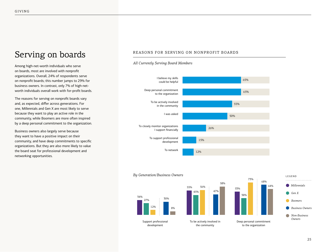# Serving on boards

Among high-net-worth individuals who serve on boards, most are involved with nonprofit organizations. Overall, 24% of respondents serve on nonprofit boards; this number jumps to 29% for business owners. In contrast, only 7% of high-networth individuals overall work with for-profit boards.

The reasons for serving on nonprofit boards vary and, as expected, differ across generations. For one, Millennials and Gen X are most likely to serve because they want to play an active role in the community, while Boomers are more often inspired by a deep personal commitment to the organization.

Business owners also largely serve because they want to have a positive impact on their community, and have deep commitments to specific organizations. But they are also more likely to value the board seat for professional development and networking opportunities.

#### REASONS FOR SERVING ON NONPROFIT BOARDS



47%

58%

53%

38%

73%

#### *All Currently Serving Board Members*

#### *By Generation/Business Owners*



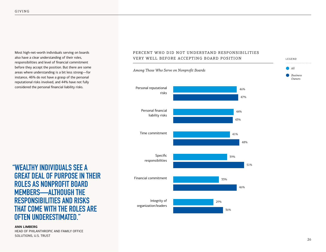Most high-net-worth individuals serving on boards also have a clear understanding of their roles, responsibilities and level of financial commitment before they accept the position. But there are some areas where understanding is a bit less strong—for instance, 46% do not have a grasp of the personal reputational risks involved, and 44% have not fully considered the personal financial liability risks.

**"WEALTHY INDIVIDUALS SEE A GREAT DEAL OF PURPOSE IN THEIR ROLES AS NONPROFIT BOARD MEMBERS—ALTHOUGH THE RESPONSIBILITIES AND RISKS THAT COME WITH THE ROLES ARE OFTEN UNDERESTIMATED."** 

**ANN LIMBERG**

HEAD OF PHILANTHROPIC AND FAMILY OFFICE SOLUTIONS, U.S. TRUST





LEGEND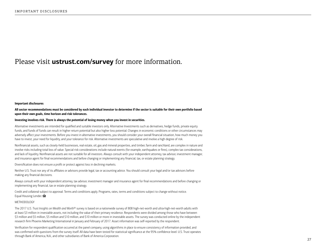#### Please visit **ustrust.com/survey** for more information.

#### Important disclosures

#### All sector recommendations must be considered by each individual investor to determine if the sector is suitable for their own portfolio based upon their own goals, time horizon and risk tolerances.

#### Investing involves risk. There is always the potential of losing money when you invest in securities.

Alternative investments are intended for qualified and suitable investors only. Alternative Investments such as derivatives, hedge funds, private equity funds, and funds of funds can result in higher return potential but also higher loss potential. Changes in economic conditions or other circumstances may adversely affect your investments. Before you invest in alternative investments, you should consider your overall financial situation, how much money you have to invest, your need for liquidity, and your tolerance for risk. Alternative investments are speculative and involve a high degree of risk.

Nonfinancial assets, such as closely-held businesses, real estate, oil, gas and mineral properties, and timber, farm and ranchland, are complex in nature and involve risks including total loss of value. Special risk considerations include natural events (for example, earthquakes or fires), complex tax considerations, and lack of liquidity. Nonfinancial assets are not suitable for all investors. Always consult with your independent attorney, tax advisor, investment manager, and insurance agent for final recommendations and before changing or implementing any financial, tax, or estate planning strategy.

Diversification does not ensure a profit or protect against loss in declining markets.

Neither U.S. Trust nor any of its affiliates or advisors provide legal, tax or accounting advice. You should consult your legal and/or tax advisors before making any financial decisions.

Always consult with your independent attorney, tax advisor, investment manager and insurance agent for final recommendations and before changing or implementing any financial, tax or estate planning strategy.

Credit and collateral subject to approval. Terms and conditions apply. Programs, rates, terms and conditions subject to change without notice. Equal Housing Lender. **△** 

#### METHODOLOGY

The 2017 *U.S. Trust Insights on Wealth and Worth*® survey is based on a nationwide survey of 808 high-net-worth and ultra-high-net-worth adults with at least \$3 million in investable assets, not including the value of their primary residence. Respondents were divided among those who have between \$3 million and \$5 million, \$5 million and \$10 million, and \$10 million or more in investable assets. The survey was conducted online by the independent research firm Phoenix Marketing International in January and February of 2017. Asset information was self-reported by the respondent.

Verification for respondent qualification occurred at the panel company, using algorithms in place to ensure consistency of information provided, and was confirmed with questions from the survey itself. All data have been tested for statistical significance at the 95% confidence level. U.S. Trust operates through Bank of America, N.A., and other subsidiaries of Bank of America Corporation.